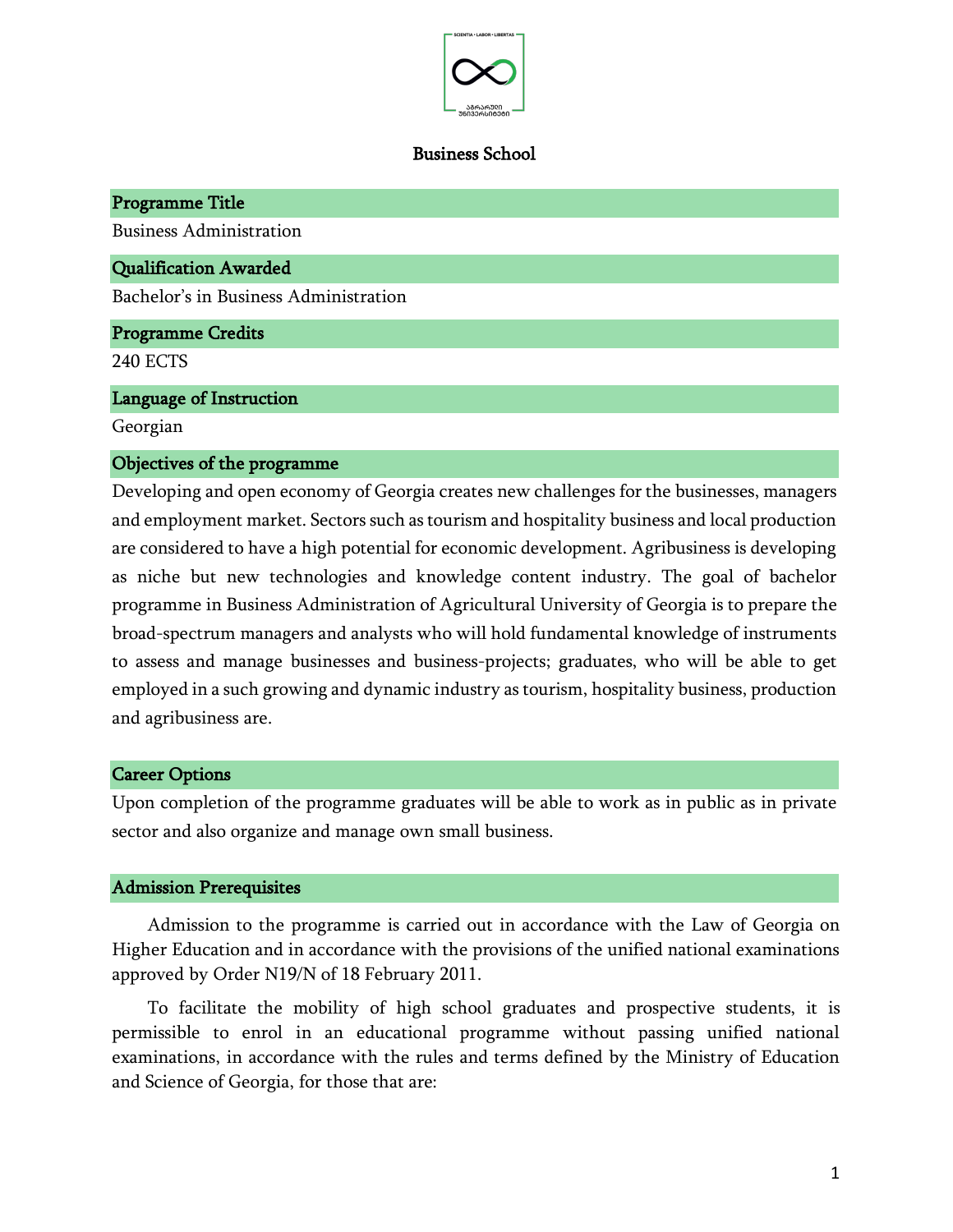

#### Business School

Programme Title Business Administration Qualification Awarded Bachelor's in Business Administration Programme Credits 240 ECTS Language of Instruction Georgian Objectives of the programme

Developing and open economy of Georgia creates new challenges for the businesses, managers and employment market. Sectors such as tourism and hospitality business and local production are considered to have a high potential for economic development. Agribusiness is developing as niche but new technologies and knowledge content industry. The goal of bachelor programme in Business Administration of Agricultural University of Georgia is to prepare the broad-spectrum managers and analysts who will hold fundamental knowledge of instruments to assess and manage businesses and business-projects; graduates, who will be able to get employed in a such growing and dynamic industry as tourism, hospitality business, production and agribusiness are.

#### Career Options

Upon completion of the programme graduates will be able to work as in public as in private sector and also organize and manage own small business.

#### Admission Prerequisites

Admission to the programme is carried out in accordance with the Law of Georgia on Higher Education and in accordance with the provisions of the unified national examinations approved by Order N19/N of 18 February 2011.

To facilitate the mobility of high school graduates and prospective students, it is permissible to enrol in an educational programme without passing unified national examinations, in accordance with the rules and terms defined by the Ministry of Education and Science of Georgia, for those that are: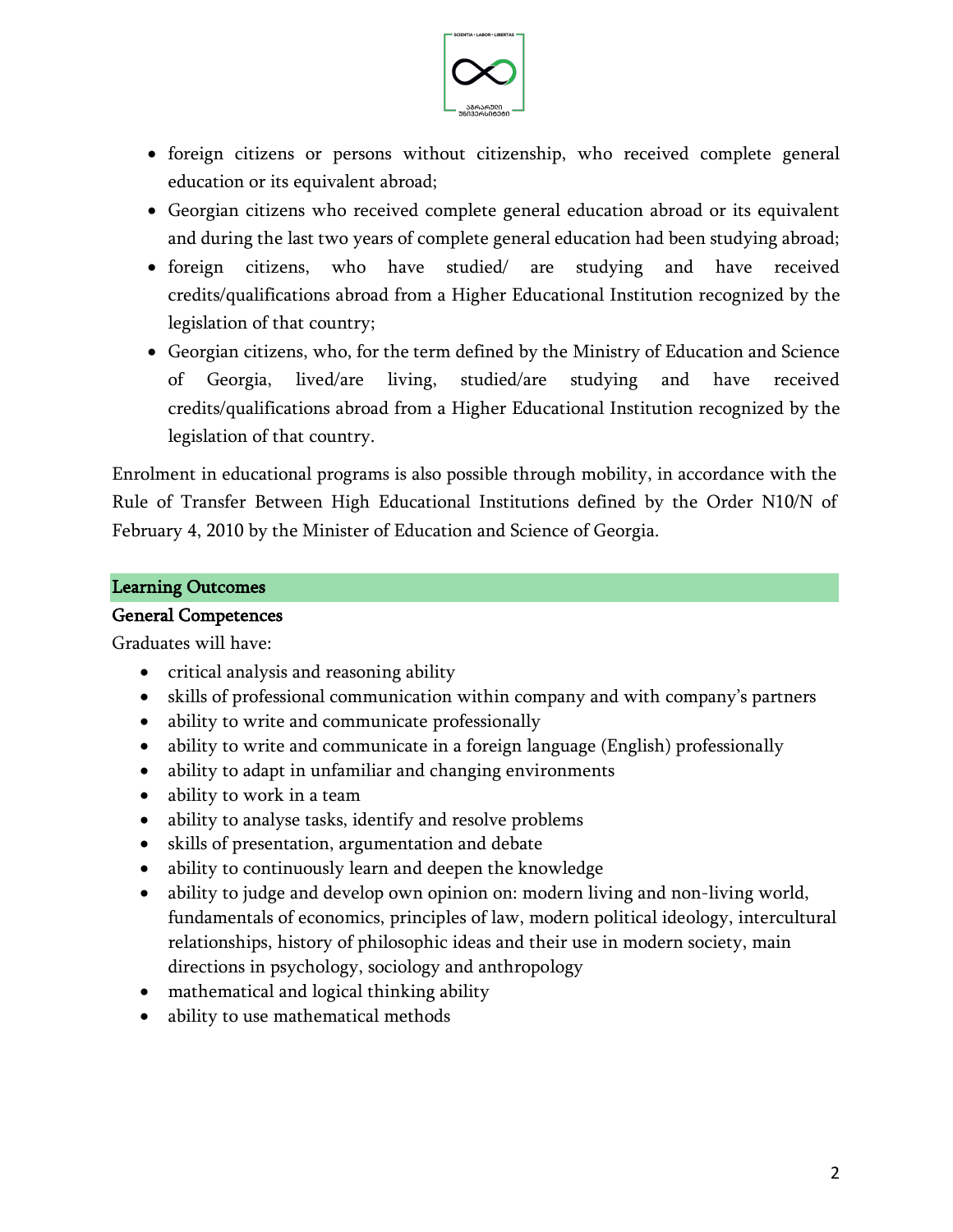

- foreign citizens or persons without citizenship, who received complete general education or its equivalent abroad;
- Georgian citizens who received complete general education abroad or its equivalent and during the last two years of complete general education had been studying abroad;
- foreign citizens, who have studied/ are studying and have received credits/qualifications abroad from a Higher Educational Institution recognized by the legislation of that country;
- Georgian citizens, who, for the term defined by the Ministry of Education and Science of Georgia, lived/are living, studied/are studying and have received credits/qualifications abroad from a Higher Educational Institution recognized by the legislation of that country.

Enrolment in educational programs is also possible through mobility, in accordance with the Rule of Transfer Between High Educational Institutions defined by the Order N10/N of February 4, 2010 by the Minister of Education and Science of Georgia.

#### Learning Outcomes

#### General Competences

Graduates will have:

- critical analysis and reasoning ability
- skills of professional communication within company and with company's partners
- ability to write and communicate professionally
- ability to write and communicate in a foreign language (English) professionally
- ability to adapt in unfamiliar and changing environments
- ability to work in a team
- ability to analyse tasks, identify and resolve problems
- skills of presentation, argumentation and debate
- ability to continuously learn and deepen the knowledge
- ability to judge and develop own opinion on: modern living and non-living world, fundamentals of economics, principles of law, modern political ideology, intercultural relationships, history of philosophic ideas and their use in modern society, main directions in psychology, sociology and anthropology
- mathematical and logical thinking ability
- ability to use mathematical methods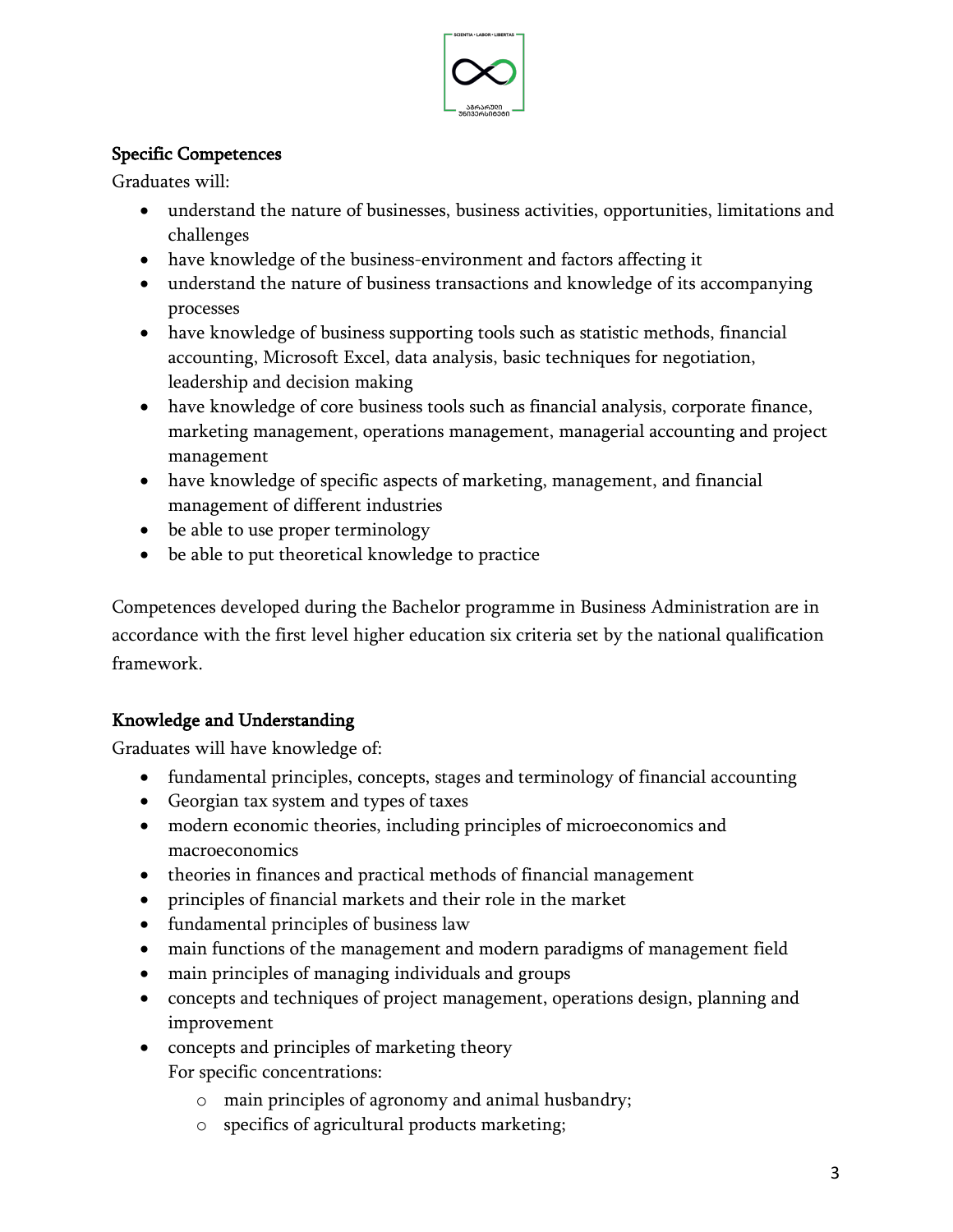

# Specific Competences

Graduates will:

- understand the nature of businesses, business activities, opportunities, limitations and challenges
- have knowledge of the business-environment and factors affecting it
- understand the nature of business transactions and knowledge of its accompanying processes
- have knowledge of business supporting tools such as statistic methods, financial accounting, Microsoft Excel, data analysis, basic techniques for negotiation, leadership and decision making
- have knowledge of core business tools such as financial analysis, corporate finance, marketing management, operations management, managerial accounting and project management
- have knowledge of specific aspects of marketing, management, and financial management of different industries
- be able to use proper terminology
- be able to put theoretical knowledge to practice

Competences developed during the Bachelor programme in Business Administration are in accordance with the first level higher education six criteria set by the national qualification framework.

# Knowledge and Understanding

Graduates will have knowledge of:

- fundamental principles, concepts, stages and terminology of financial accounting
- Georgian tax system and types of taxes
- modern economic theories, including principles of microeconomics and macroeconomics
- theories in finances and practical methods of financial management
- principles of financial markets and their role in the market
- fundamental principles of business law
- main functions of the management and modern paradigms of management field
- main principles of managing individuals and groups
- concepts and techniques of project management, operations design, planning and improvement
- concepts and principles of marketing theory
	- For specific concentrations:
		- o main principles of agronomy and animal husbandry;
		- o specifics of agricultural products marketing;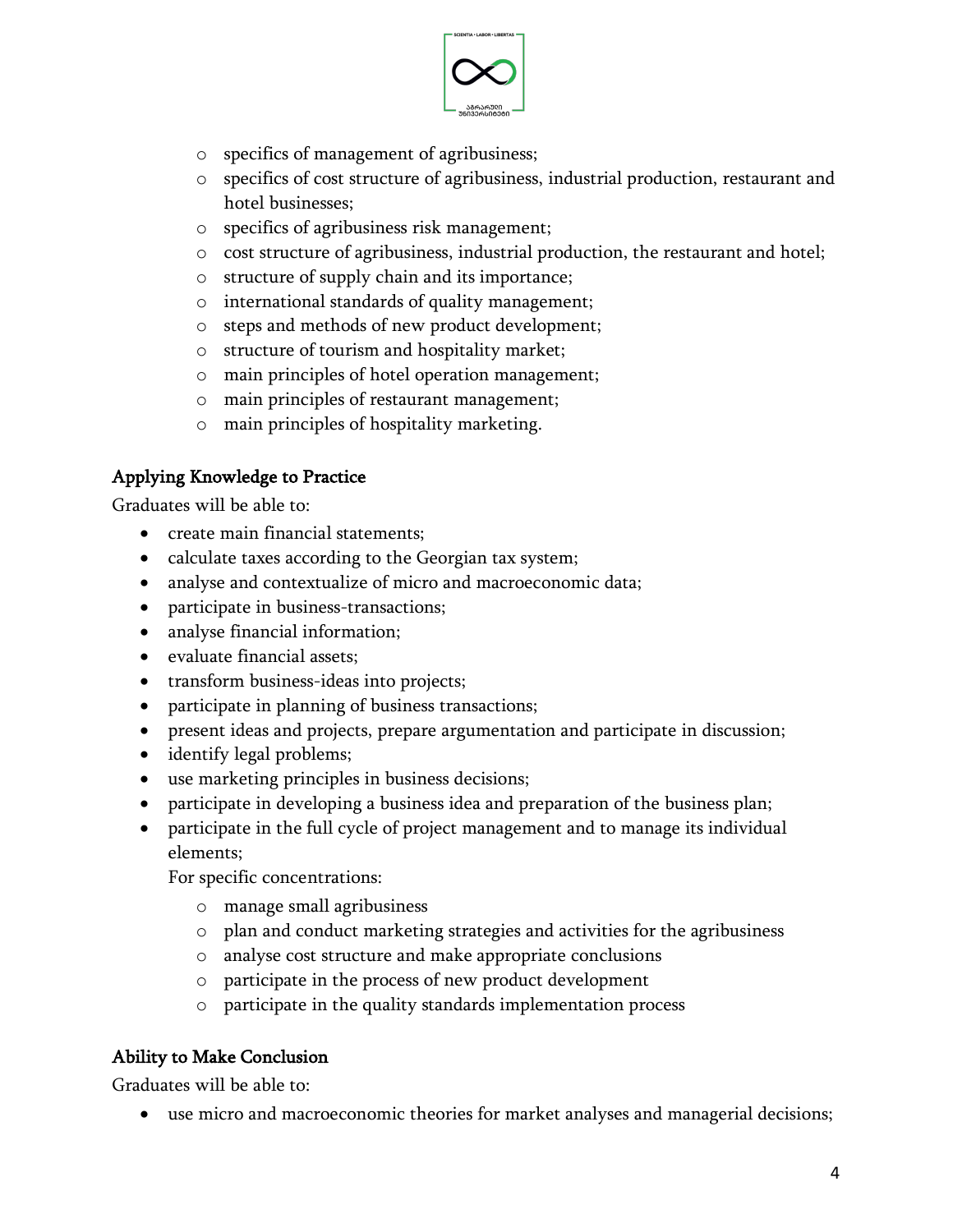

- o specifics of management of agribusiness;
- o specifics of cost structure of agribusiness, industrial production, restaurant and hotel businesses;
- o specifics of agribusiness risk management;
- o cost structure of agribusiness, industrial production, the restaurant and hotel;
- o structure of supply chain and its importance;
- o international standards of quality management;
- o steps and methods of new product development;
- o structure of tourism and hospitality market;
- o main principles of hotel operation management;
- o main principles of restaurant management;
- o main principles of hospitality marketing.

# Applying Knowledge to Practice

Graduates will be able to:

- create main financial statements;
- calculate taxes according to the Georgian tax system;
- analyse and contextualize of micro and macroeconomic data;
- participate in business-transactions;
- analyse financial information;
- evaluate financial assets;
- transform business-ideas into projects;
- participate in planning of business transactions;
- present ideas and projects, prepare argumentation and participate in discussion;
- identify legal problems;
- use marketing principles in business decisions;
- participate in developing a business idea and preparation of the business plan;
- participate in the full cycle of project management and to manage its individual elements;

For specific concentrations:

- o manage small agribusiness
- o plan and conduct marketing strategies and activities for the agribusiness
- o analyse cost structure and make appropriate conclusions
- o participate in the process of new product development
- o participate in the quality standards implementation process

# Ability to Make Conclusion

Graduates will be able to:

• use micro and macroeconomic theories for market analyses and managerial decisions;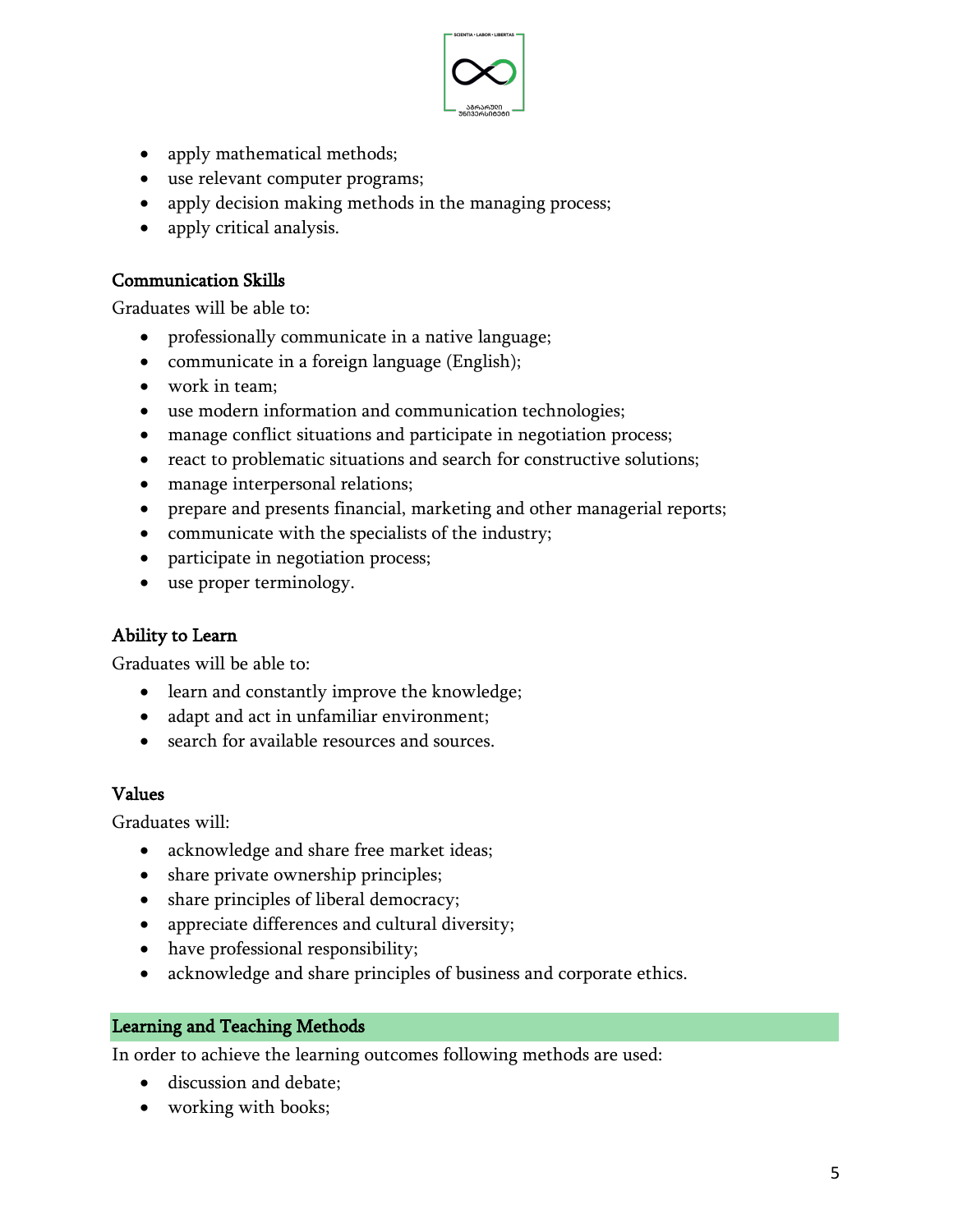

- apply mathematical methods;
- use relevant computer programs;
- apply decision making methods in the managing process;
- apply critical analysis.

## Communication Skills

Graduates will be able to:

- professionally communicate in a native language;
- communicate in a foreign language (English);
- work in team;
- use modern information and communication technologies;
- manage conflict situations and participate in negotiation process;
- react to problematic situations and search for constructive solutions;
- manage interpersonal relations;
- prepare and presents financial, marketing and other managerial reports;
- communicate with the specialists of the industry;
- participate in negotiation process;
- use proper terminology.

# Ability to Learn

Graduates will be able to:

- learn and constantly improve the knowledge;
- adapt and act in unfamiliar environment;
- search for available resources and sources.

## Values

Graduates will:

- acknowledge and share free market ideas;
- share private ownership principles;
- share principles of liberal democracy;
- appreciate differences and cultural diversity;
- have professional responsibility;
- acknowledge and share principles of business and corporate ethics.

## Learning and Teaching Methods

In order to achieve the learning outcomes following methods are used:

- discussion and debate;
- working with books;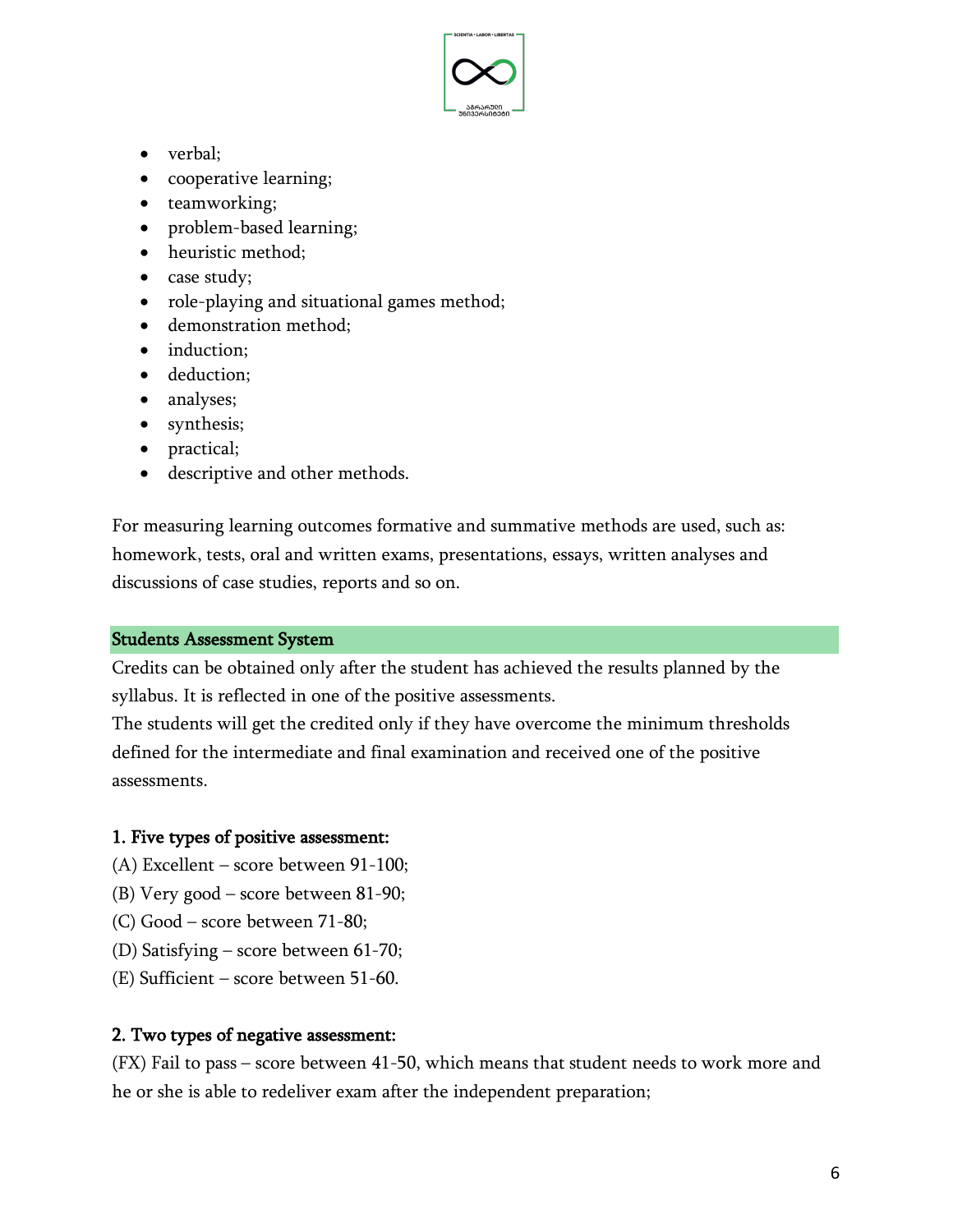

- verbal;
- cooperative learning;
- teamworking;
- problem-based learning;
- heuristic method;
- case study;
- role-playing and situational games method;
- demonstration method;
- induction:
- deduction;
- analyses;
- synthesis;
- practical;
- descriptive and other methods.

For measuring learning outcomes formative and summative methods are used, such as: homework, tests, oral and written exams, presentations, essays, written analyses and discussions of case studies, reports and so on.

## Students Assessment System

Credits can be obtained only after the student has achieved the results planned by the syllabus. It is reflected in one of the positive assessments.

The students will get the credited only if they have overcome the minimum thresholds defined for the intermediate and final examination and received one of the positive assessments.

## 1. Five types of positive assessment:

- (A) Excellent score between 91-100;
- (B) Very good score between 81-90;
- (C) Good score between 71-80;
- (D) Satisfying score between 61-70;
- (E) Sufficient score between 51-60.

## 2. Two types of negative assessment:

(FX) Fail to pass – score between 41-50, which means that student needs to work more and he or she is able to redeliver exam after the independent preparation;